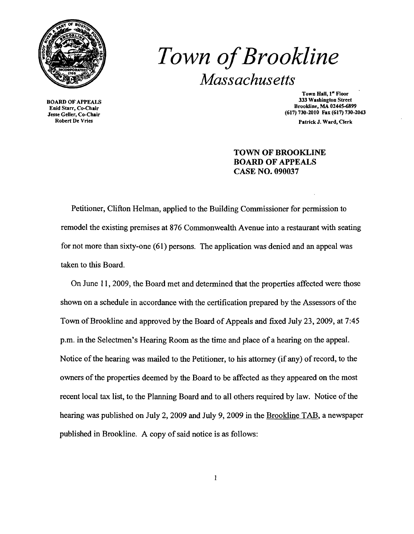

BOARD OF APPEALS Enid Starr, Co-Chair Jesse Geller, Co-Chair

# *Town ofBrookline Massachusetts*

Town Hall, I" Floor 333 Washington Street Brookline, MA 02445-6899 (617) 730-2010 Fax (617) 730-2043

Patrick J. Ward, Clerk

## TOWN OF BROOKLINE BOARD OF APPEALS CASE NO. 090037

Petitioner, Clifton Helman, applied to the Building Commissioner for pennission to remodel the existing premises at 876 Commonwealth Avenue into a restaurant with seating for not more than sixty-one (61) persons. The application was denied and an appeal was taken to this Board.

On June 11,2009, the Board met and detennined that the properties affected were those shown on a schedule in accordance with the certification prepared by the Assessors of the Town of Brookline and approved by the Board of Appeals and fixed July 23, 2009, at 7:45 p.m. in the Selectmen's Hearing Room as the time and place of a hearing on the appeal. Notice of the hearing was mailed to the Petitioner, to his attorney (if any) of record, to the owners of the properties deemed by the Board to be affected as they appeared on the most recent local tax list, to the Planning Board and to all others required by law. Notice of the hearing was published on July 2, 2009 and July 9, 2009 in the Brookline TAB, a newspaper published in Brookline. A copy of said notice is as follows: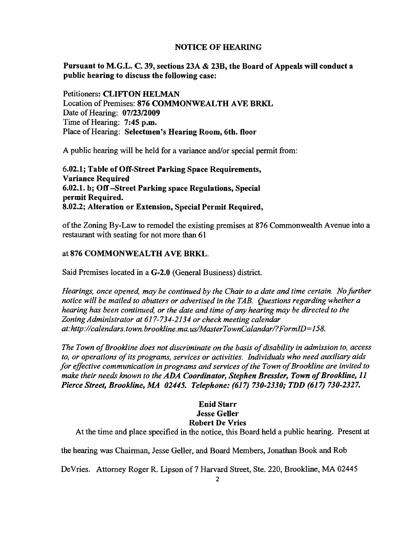### NOTICE OF HEARING

Pursuant to M.G.L. C. 39, sections 23A & 23B, the Board of Appeals will conduct a public hearing to discuss the following case:

Petitioners: CLIFTON HELMAN Location of Premises: 876 COMMONWEALTH AVE BRKL Date of Hearing: 07/23/2009 Time of Hearing: 7:45 p.m. Place of Hearing: Selectmen's Hearing Room, 6th. floor

A public hearing will be held for a variance and/or special permit from:

6.02.1; Table of Off-Street Parking Space Requirements, Variance Required 6.02.1. b; Off-Street Parking space Regulations, Special permit Req uired. 8.02.2; Alteration or Extension, Special Permit Required,

ofthe Zoning By-Law to remodel the existing premises at 876 Commonwealth Avenue into a restaurant with seating for not more than 61

### at 876 COMMONWEALTH AVE BRKL.

Said Premises located in a G-2.0 (General Business) district.

*Hearings, once opened, may be continued by the Chair to a date and time certain. No further notice will be mailed to abutters or advertised in the TAB. Questions regarding whether a hearing has been continued, or the date and time of any hearing may be directed to the Zoning Administrator at* 617-734-2134 *or check meeting calendar at:http://calendars.town.brookline.ma.us/MasterTownCalandarl?FormID=158.* 

The Town of Brookline does not discriminate on the basis of disability in admission to, access *to, or operations ofits programs, services or activities. Individuals who need auxiliary aids for effective communication in programs and services of the Town of Brookline are invited to make their needs known to the ADA Coordinator, Stephen Bressler, Town of Brookline, 11 Pierce Street, Brookline, MA 02445. Telephone:* (617) *730-2330; TDD* (617) *730-2327.* 

### Enid Starr Jesse Geller Robert De Vries

At the time and place specified in the notice, this Board held a public hearing. Present at

the hearing was Chairman, Jesse Geller, and Board Members, Jonathan Book and Rob

DeVries. Attorney Roger R. Lipson of 7 Harvard Street, Ste. 220, Brookline, MA 02445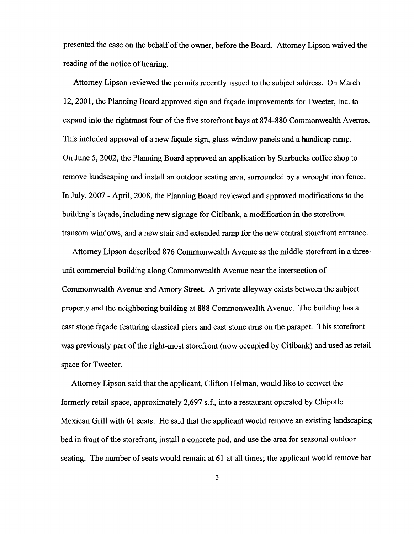presented the case on the behalf of the owner, before the Board. Attorney Lipson waived the reading of the notice of hearing.

Attorney Lipson reviewed the permits recently issued to the subject address. On March 12, 2001, the Planning Board approved sign and facade improvements for Tweeter. Inc. to expand into the rightmost four of the five storefront bays at 874-880 Commonwealth Avenue. This included approval of a new facade sign, glass window panels and a handicap ramp. On June 5, 2002, the Planning Board approved an application by Starbucks coffee shop to remove landscaping and install an outdoor seating area, surrounded by a wrought iron fence. In July, 2007 - April, 2008, the Planning Board reviewed and approved modifications to the building's facade, including new signage for Citibank, a modification in the storefront transom windows, and a new stair and extended ramp for the new central storefront entrance.

Attorney Lipson described 876 Commonwealth Avenue as the middle storefront in a threeunit commercial building along Commonwealth Avenue near the intersection of Commonwealth Avenue and Amory Street. A private alleyway exists between the subject property and the neighboring building at 888 Commonwealth Avenue. The building has a cast stone fayade featuring classical piers and cast stone urns on the parapet. This storefront was previously part of the right-most storefront (now occupied by Citibank) and used as retail space for Tweeter.

Attorney Lipson said that the applicant, Clifton Helman, would like to convert the formerly retail space, approximately 2,697 s.f., into a restaurant operated by Chipotle Mexican Grill with 61 seats. He said that the applicant would remove an existing landscaping bed in front of the storefront, install a concrete pad, and use the area for seasonal outdoor seating. The number of seats would remain at 61 at all times; the applicant would remove bar

3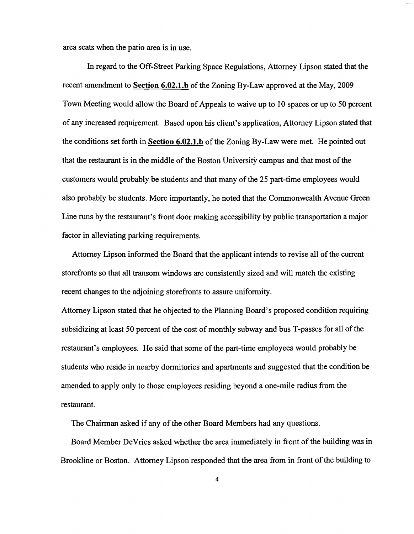area seats when the patio area is in use.

In regard to the Off-Street Parking Space Regulations, Attorney Lipson stated that the recent amendment to Section 6.02.1.b of the Zoning By-Law approved at the May, 2009 Town Meeting would allow the Board of Appeals to waive up to 10 spaces or up to 50 percent of any increased requirement. Based upon his client's application, Attorney Lipson stated that the conditions set forth in Section 6.02.1.b of the Zoning By-Law were met. He pointed out that the restaurant is in the middle of the Boston University campus and that most of the customers would probably be students and that many of the 25 part-time employees would also probably be students. More importantly, he noted that the Commonwealth Avenue Green Line runs by the restaurant's front door making accessibility by public transportation a major factor in alleviating parking requirements.

Attorney Lipson informed the Board that the applicant intends to revise all of the current storefronts so that all transom windows are consistently sized and will match the existing recent changes to the adjoining storefronts to assure uniformity.

Attorney Lipson stated that he objected to the Planning Board's proposed condition requiring subsidizing at least 50 percent of the cost of monthly subway and bus T-passes for all of the restaurant's employees. He said that some of the part-time employees would probably be students who reside in nearby dormitories and apartments and suggested that the condition be amended to apply only to those employees residing beyond a one-mile radius from the restaurant.

The Chairman asked if any of the other Board Members had any questions.

Board Member DeVries asked whether the area immediately in front of the building was in Brookline or Boston. Attorney Lipson responded that the area from in front of the building to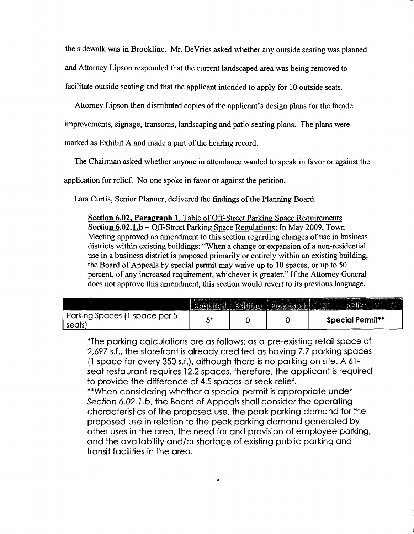the sidewalk was in Brookline. Mr. DeVries asked whether any outside seating was planned and Attorney Lipson responded that the current landscaped area was being removed to facilitate outside seating and that the applicant intended to apply for 10 outside seats.

Attorney Lipson then distributed copies of the applicant's design plans for the façade improvements, signage, transoms, landscaping and patio seating plans. The plans were

marked as Exhibit A and made a part of the hearing record.

The Chairman asked whether anyone in attendance wanted to speak in favor or against the

application for relief. No one spoke in favor or against the petition.

Lara Curtis, Senior Planner, delivered the findings of the Planning Board.

**Section 6.02, Paragraph 1,** Table of Off-Street Parking Space Requirements **Section 6.02.1.b** - Off-Street Parking Space Regulations: In May 2009, Town Meeting approved an amendment to this section regarding changes of use in business districts within existing buildings: "When a change or expansion of a non-residential use in a business district is proposed primarily or entirely within an existing building, the Board of Appeals by special permit may waive up to 10 spaces, or up to 50 percent, of any increased requirement, whichever is greater." If the Attorney General does not approve this amendment, this section would revert to its previous language.

|                                         | $\mathbb{E}$ $\{ \infty, \infty, \infty \}$ | $5.83$ $(6)$ | $\left  \cdot \right $ $\left  \cdot \right $ $\left  \cdot \right $ |                         |
|-----------------------------------------|---------------------------------------------|--------------|----------------------------------------------------------------------|-------------------------|
| Parking Spaces (1 space per 5<br>seats) | С×                                          |              |                                                                      | <b>Special Permit**</b> |

\*The parking calculations are as follows: as a pre-existing retail space of 2,697 s.f., the storefront is already credited as having 7.7 parking spaces (1 space for every 350 s.f.), although there is no parking on site. A 61 seat restaurant requires 12.2 spaces, therefore, the applicant is required to provide the difference of 4.5 spaces or seek relief.

\*\*When considering whether a special permit is appropriate under Section 6.02.1.b, the Board of Appeals shall consider the operating characteristics of the proposed use, the peak parking demand for the proposed use in relation to the peak parking demand generated by other uses in the area, the need for and provision of employee parking, and the availability and/or shortage of existing public parking and transit facilities in the area.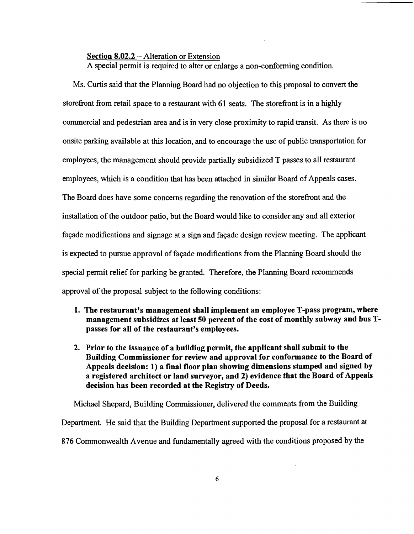#### Section 8.02.2 – Alteration or Extension

A special permit is required to alter or enlarge a non-conforming condition.

Ms. Curtis said that the Planning Board had no objection to this proposal to convert the storefront from retail space to a restaurant with 61 seats. The storefront is in a highly commercial and pedestrian area and is in very close proximity to rapid transit. As there is no onsite parking available at this location, and to encourage the use of public transportation for employees, the management should provide partially subsidized T passes to all restaurant employees, which is a condition that has been attached in similar Board of Appeals cases. The Board does have some concerns regarding the renovation of the storefront and the installation of the outdoor patio, but the Board would like to consider any and all exterior façade modifications and signage at a sign and façade design review meeting. The applicant is expected to pursue approval of façade modifications from the Planning Board should the special permit relief for parking be granted. Therefore, the Planning Board recommends approval of the proposal subject to the following conditions:

- 1. The restaurant's management shall implement an employee T-pass program, where management subsidizes at least 50 percent of the cost of monthly subway and bus Tpasses for all of the restaurant's employees.
- 2. Prior to the issuance of a building permit, the applicant shall submit to the Building Commissioner for review and approval for conformance to the Board of Appeals decision: 1) a final floor plan showing dimensions stamped and signed by a registered architect or land surveyor, and 2) evidence that the Board of Appeals decision has been recorded at the Registry of Deeds.

Michael Shepard, Building Commissioner, delivered the comments from the Building Department. He said that the Building Department supported the proposal for a restaurant at 876 Commonwealth Avenue and fundamentally agreed with the conditions proposed by the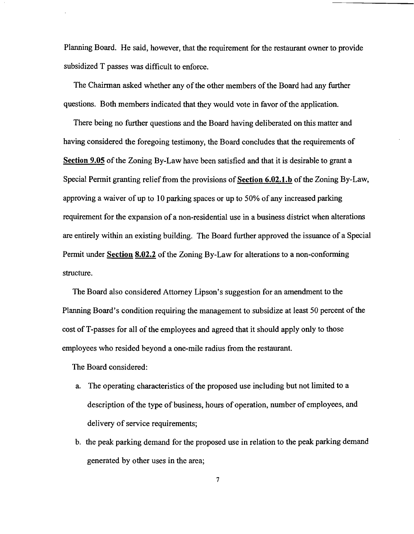Planning Board. He said, however, that the requirement for the restaurant owner to provide subsidized T passes was difficult to enforce.

The Chairman asked whether any of the other members of the Board had any further questions. Both members indicated that they would vote in favor of the application.

There being no further questions and the Board having deliberated on this matter and having considered the foregoing testimony, the Board concludes that the requirements of Section 9.05 of the Zoning By-Law have been satisfied and that it is desirable to grant a Special Permit granting relief from the provisions of Section 6.02.1.b of the Zoning By-Law, approving a waiver of up to 10 parking spaces or up to 50% of any increased parking requirement for the expansion of a non-residential use in a business district when alterations are entirely within an existing building. The Board further approved the issuance of a Special Permit under Section 8.02.2 of the Zoning By-Law for alterations to a non-conforming structure.

The Board also considered Attorney Lipson's suggestion for an amendment to the Planning Board's condition requiring the management to subsidize at least 50 percent of the cost ofT-passes for all of the employees and agreed that it should apply only to those employees who resided beyond a one-mile radius from the restaurant.

The Board considered:

- a. The operating characteristics of the proposed use including but not limited to a description of the type of business, hours of operation, number of employees, and delivery of service requirements;
- b. the peak parking demand for the proposed use in relation to the peak parking demand generated by other uses in the area;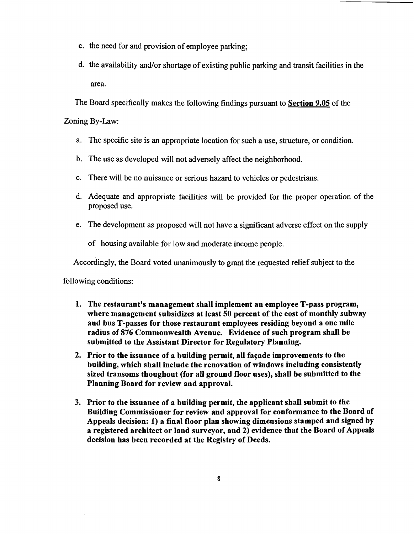- c. the need for and provision of employee parking;
- d. the availability and/or shortage of existing public parking and transit facilities in the area.

The Board specifically makes the following findings pursuant to Section 9.05 of the

Zoning By-Law:

- a. The specific site is an appropriate location for such a use, structure, or condition.
- b. The use as developed will not adversely affect the neighborhood.
- c. There will be no nuisance or serious hazard to vehicles or pedestrians.
- d. Adequate and appropriate facilities will be provided for the proper operation of the proposed use.
- e. The development as proposed will not have a significant adverse effect on the supply

of housing available for low and moderate income people.

Accordingly, the Board voted unanimously to grant the requested relief subject to the

following conditions:

- 1. The restaurant's management shall implement an employee T-pass program, where management subsidizes at least 50 percent of the cost of monthly subway and bus T-passes for those restaurant employees residing beyond a one mile radius of 876 Commonwealth Avenue. Evidence of such program shall be submitted to the Assistant Director for Regulatory Planning.
- 2. Prior to the issuance of a building permit, all façade improvements to the building, which shall include the renovation of windows including consistently sized transoms thoughout (for all ground floor uses), shall be submitted to the Planning Board for review and approval.
- 3. Prior to the issuance of a building permit, the applicant shall submit to the Building Commissioner for review and approval for conformance to the Board of Appeals decision: 1) a final floor plan showing dimensions stamped and signed by a registered architect or land surveyor, and 2) evidence that the Board of Appeals decision has been recorded at the Registry of Deeds.